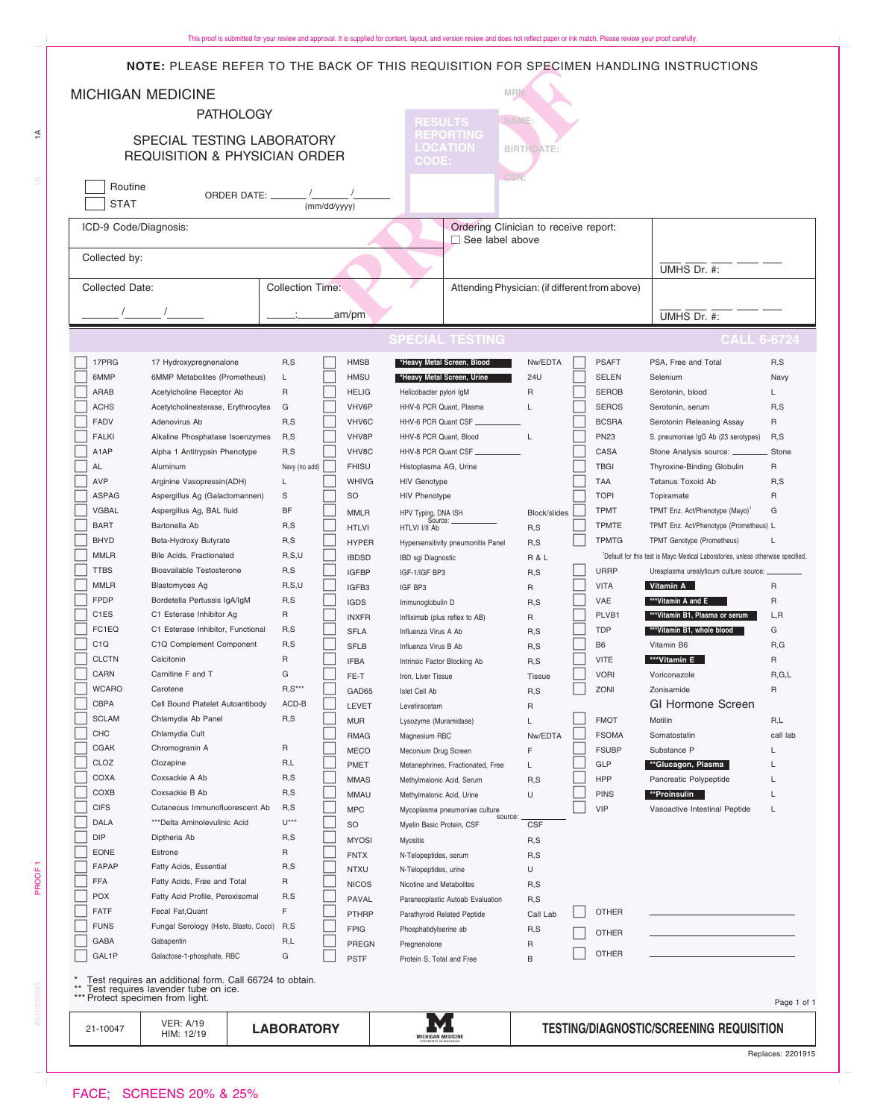| <b>NOTE:</b> PLEASE REFER TO THE BACK OF THIS REQUISITION FOR SPECIMEN HANDLING INSTRUCTIONS |                                                   |                                                                         |                 |               |                             |                                                |                                                |                   |                                                 |  |                             |             |                                                                                             |                 |
|----------------------------------------------------------------------------------------------|---------------------------------------------------|-------------------------------------------------------------------------|-----------------|---------------|-----------------------------|------------------------------------------------|------------------------------------------------|-------------------|-------------------------------------------------|--|-----------------------------|-------------|---------------------------------------------------------------------------------------------|-----------------|
|                                                                                              |                                                   | <b>MICHIGAN MEDICINE</b>                                                |                 |               |                             |                                                |                                                | MRN:              |                                                 |  |                             |             |                                                                                             |                 |
|                                                                                              |                                                   | <b>PATHOLOGY</b>                                                        |                 |               |                             | NAME:                                          |                                                |                   |                                                 |  |                             |             |                                                                                             |                 |
|                                                                                              |                                                   |                                                                         |                 |               |                             |                                                | <b>RESULTS</b><br><b>REPORTING</b>             |                   |                                                 |  |                             |             |                                                                                             |                 |
| SPECIAL TESTING LABORATORY<br><b>REQUISITION &amp; PHYSICIAN ORDER</b>                       |                                                   |                                                                         |                 |               |                             |                                                | <b>LOCATION</b>                                |                   | <b>BIRTHDATE:</b>                               |  |                             |             |                                                                                             |                 |
|                                                                                              |                                                   |                                                                         |                 |               |                             |                                                | <b>CODE:</b>                                   |                   |                                                 |  |                             |             |                                                                                             |                 |
|                                                                                              | Routine                                           |                                                                         |                 | <b>CSN</b>    |                             |                                                |                                                |                   |                                                 |  |                             |             |                                                                                             |                 |
|                                                                                              | <b>STAT</b>                                       |                                                                         |                 |               |                             |                                                |                                                |                   |                                                 |  |                             |             |                                                                                             |                 |
|                                                                                              |                                                   |                                                                         |                 |               | (mm/dd/yyyy)                |                                                |                                                |                   |                                                 |  |                             |             |                                                                                             |                 |
|                                                                                              | ICD-9 Code/Diagnosis:                             |                                                                         |                 |               |                             |                                                |                                                | □ See label above | Ordering Clinician to receive report:           |  |                             |             |                                                                                             |                 |
|                                                                                              | Collected by:                                     |                                                                         |                 |               |                             |                                                |                                                |                   |                                                 |  |                             |             |                                                                                             |                 |
|                                                                                              |                                                   |                                                                         |                 |               |                             |                                                |                                                |                   |                                                 |  |                             |             | UMHS Dr. #:                                                                                 |                 |
|                                                                                              | <b>Collected Date:</b><br><b>Collection Time:</b> |                                                                         |                 |               |                             | Attending Physician: (if different from above) |                                                |                   |                                                 |  |                             |             |                                                                                             |                 |
|                                                                                              |                                                   |                                                                         |                 | .am/pm        |                             |                                                |                                                |                   |                                                 |  |                             | UMHS Dr. #: |                                                                                             |                 |
|                                                                                              |                                                   |                                                                         |                 |               |                             |                                                |                                                |                   |                                                 |  |                             |             |                                                                                             |                 |
|                                                                                              |                                                   |                                                                         |                 |               |                             |                                                | <b>SPECIAL TESTING</b>                         |                   |                                                 |  |                             |             | <b>CALL 6-6724</b>                                                                          |                 |
|                                                                                              | 17PRG                                             | 17 Hydroxypregnenalone                                                  | R, S            |               | <b>HMSB</b>                 |                                                | *Heavy Metal Screen, Blood                     |                   | Nw/EDTA                                         |  | <b>PSAFT</b>                |             | PSA, Free and Total                                                                         | R, S            |
|                                                                                              | 6MMP                                              | 6MMP Metabolites (Prometheus)                                           | L               |               | <b>HMSU</b>                 |                                                | *Heavy Metal Screen, Urine                     |                   | 24U                                             |  | <b>SELEN</b>                |             | Selenium                                                                                    | Navy            |
|                                                                                              | ARAB                                              | Acetylcholine Receptor Ab                                               | $\mathsf{R}$    |               | <b>HELIG</b>                |                                                | Helicobacter pylori IgM                        |                   | $\mathsf{R}$                                    |  | <b>SEROB</b>                |             | Serotonin, blood                                                                            | L               |
|                                                                                              | <b>ACHS</b>                                       | Acetylcholinesterase, Erythrocytes                                      | G               |               | VHV6P                       |                                                | HHV-6 PCR Quant, Plasma                        |                   | L                                               |  | <b>SEROS</b>                |             | Serotonin, serum                                                                            | R, S            |
|                                                                                              | <b>FADV</b><br><b>FALKI</b>                       | Adenovirus Ab<br>Alkaline Phosphatase Isoenzymes                        | R,S<br>R, S     |               | VHV6C<br>VHV8P              |                                                | HHV-6 PCR Quant CSF<br>HHV-8 PCR Quant, Blood  |                   | L                                               |  | <b>BCSRA</b><br><b>PN23</b> |             | Serotonin Releasing Assay<br>S. pneumoniae IgG Ab (23 serotypes)                            | R<br>R, S       |
|                                                                                              | A1AP                                              | Alpha 1 Antitrypsin Phenotype                                           | R, S            |               | VHV8C                       |                                                | HHV-8 PCR Quant CSF.                           |                   |                                                 |  | CASA                        |             | Stone Analysis source: __                                                                   | Stone           |
|                                                                                              | AL                                                | Aluminum                                                                |                 | Navy (no add) | <b>FHISU</b>                |                                                | Histoplasma AG, Urine                          |                   |                                                 |  | <b>TBGI</b>                 |             | Thyroxine-Binding Globulin                                                                  | R               |
|                                                                                              | <b>AVP</b>                                        | Arginine Vasopressin(ADH)                                               | L               |               | <b>WHIVG</b>                |                                                | <b>HIV Genotype</b>                            |                   |                                                 |  | <b>TAA</b>                  |             | <b>Tetanus Toxoid Ab</b>                                                                    | R, S            |
|                                                                                              | <b>ASPAG</b>                                      | Aspergillus Ag (Galactomannen)                                          | S               |               | SO                          |                                                | <b>HIV Phenotype</b>                           |                   |                                                 |  | <b>TOPI</b>                 |             | Topiramate                                                                                  | R               |
|                                                                                              | <b>VGBAL</b>                                      | Aspergillus Ag, BAL fluid                                               | <b>BF</b>       |               | <b>MMLR</b>                 |                                                |                                                |                   | Block/slides                                    |  | <b>TPMT</b>                 |             | TPMT Enz. Act/Phenotype (Mayo) <sup>1</sup>                                                 | G               |
|                                                                                              | <b>BART</b>                                       | Bartonella Ab                                                           | R, S            |               | <b>HTLVI</b>                |                                                |                                                |                   | R, S                                            |  | <b>TPMTE</b>                |             | TPMT Enz. Act/Phenotype (Prometheus) L                                                      |                 |
|                                                                                              | <b>BHYD</b>                                       | Beta-Hydroxy Butyrate                                                   | R, S            |               | <b>HYPER</b>                |                                                | Hypersensitivity pneumonitis Panel             |                   | R, S                                            |  | <b>TPMTG</b>                |             | TPMT Genotype (Prometheus)                                                                  |                 |
|                                                                                              | <b>MMLR</b>                                       | Bile Acids, Fractionated                                                | R, S, U         |               | <b>IBDSD</b>                |                                                | IBD sgi Diagnostic                             |                   | <b>R&amp;L</b>                                  |  |                             |             | <sup>1</sup> Default for this test is Mayo Medical Laboratories, unless otherwise specified |                 |
|                                                                                              | <b>TTBS</b><br><b>MMLR</b>                        | Bioavailable Testosterone<br><b>Blastomyces Ag</b>                      | R, S<br>R, S, U |               | <b>IGFBP</b>                |                                                | IGF-1/IGF BP3                                  |                   | R, S                                            |  | <b>URRP</b><br><b>VITA</b>  |             | Ureaplasma urealyticum culture source: .<br>Vitamin A                                       | R               |
|                                                                                              | <b>FPDP</b>                                       | Bordetella Pertussis IgA/IgM                                            | R, S            |               | IGFB3<br><b>IGDS</b>        |                                                | IGF BP3<br>Immunoglobulin D                    |                   | R<br>R, S                                       |  | VAE                         |             | ***Vitamin A and E                                                                          | R               |
|                                                                                              | C <sub>1</sub> ES                                 | C1 Esterase Inhibitor Ag                                                | R               |               | <b>INXFR</b>                |                                                | Infliximab (plus reflex to AB)                 |                   | R                                               |  | PLVB1                       |             | ***Vitamin B1, Plasma or serum                                                              | L, R            |
|                                                                                              | FC1EQ                                             | C1 Esterase Inhibitor, Functional                                       | R,S             |               | <b>SFLA</b>                 |                                                | Influenza Virus A Ab                           |                   | R,S                                             |  | <b>TDP</b>                  |             | ***Vitamin B1, whole blood                                                                  | G               |
|                                                                                              | C <sub>1</sub> Q                                  | C1Q Complement Component                                                | R, S            |               | <b>SFLB</b>                 |                                                | Influenza Virus B Ab                           |                   | R,S                                             |  | B <sub>6</sub>              |             | Vitamin B6                                                                                  | R,G             |
|                                                                                              | <b>CLCTN</b>                                      | Calcitonin                                                              | $\mathsf R$     |               | <b>IFBA</b>                 |                                                | Intrinsic Factor Blocking Ab                   |                   | R, S                                            |  | <b>VITE</b>                 |             | ***Vitamin E                                                                                | R               |
|                                                                                              | CARN                                              | Carnitine F and T                                                       | G               |               | FE-T                        |                                                | Iron, Liver Tissue                             |                   | Tissue                                          |  | <b>VORI</b>                 |             | Voriconazole                                                                                | R, G, L         |
|                                                                                              | <b>WCARO</b>                                      | Carotene                                                                | $R, S^{***}$    |               | GAD65                       |                                                | Islet Cell Ab                                  |                   | R, S                                            |  | ZONI                        |             | Zonisamide                                                                                  | R               |
|                                                                                              | <b>CBPA</b><br><b>SCLAM</b>                       | Cell Bound Platelet Autoantibody<br>Chlamydia Ab Panel                  | ACD-B<br>R,S    |               | LEVET                       |                                                | Levetiracetam                                  |                   | R                                               |  | <b>FMOT</b>                 |             | GI Hormone Screen<br>Motilin                                                                |                 |
|                                                                                              | <b>CHC</b>                                        | Chlamydia Cult                                                          |                 |               | <b>MUR</b><br><b>RMAG</b>   |                                                | Lysozyme (Muramidase)<br>Magnesium RBC         |                   | Nw/EDTA                                         |  | <b>FSOMA</b>                |             | Somatostatin                                                                                | R,L<br>call lab |
|                                                                                              | <b>CGAK</b>                                       | Chromogranin A                                                          | R               |               | <b>MECO</b>                 |                                                | Meconium Drug Screen                           |                   | F                                               |  | <b>FSUBP</b>                |             | Substance P                                                                                 |                 |
|                                                                                              | CLOZ                                              | Clozapine                                                               | R,L             |               | PMET                        |                                                | Metanephrines, Fractionated, Free              |                   | L                                               |  | <b>GLP</b>                  |             | **Glucagon, Plasma                                                                          |                 |
|                                                                                              | COXA                                              | Coxsackie A Ab                                                          | R, S            |               | <b>MMAS</b>                 |                                                | Methylmalonic Acid, Serum                      |                   | R, S                                            |  | <b>HPP</b>                  |             | Pancreatic Polypeptide                                                                      |                 |
|                                                                                              | COXB                                              | Coxsackie B Ab                                                          | R,S             |               | <b>MMAU</b>                 |                                                | Methylmalonic Acid, Urine                      |                   | U                                               |  | <b>PINS</b>                 |             | **Proinsulin                                                                                |                 |
|                                                                                              | <b>CIFS</b>                                       | Cutaneous Immunofluorescent Ab                                          | R, S            |               | <b>MPC</b>                  |                                                | Mycoplasma pneumoniae culture                  | source:           |                                                 |  | <b>VIP</b>                  |             | Vasoactive Intestinal Peptide                                                               | L               |
|                                                                                              | DALA<br><b>DIP</b>                                | ***Delta Aminolevulinic Acid<br>Diptheria Ab                            | $U***$<br>R,S   |               | <b>SO</b>                   |                                                | Myelin Basic Protein, CSF                      |                   | <b>CSF</b>                                      |  |                             |             |                                                                                             |                 |
|                                                                                              | <b>EONE</b>                                       | Estrone                                                                 | R               |               | <b>MYOSI</b><br><b>FNTX</b> |                                                | <b>Myositis</b>                                |                   | R, S                                            |  |                             |             |                                                                                             |                 |
|                                                                                              | <b>FAPAP</b>                                      | Fatty Acids, Essential                                                  | R, S            |               | <b>NTXU</b>                 |                                                | N-Telopeptides, serum<br>N-Telopeptides, urine |                   | R, S<br>U                                       |  |                             |             |                                                                                             |                 |
|                                                                                              | <b>FFA</b>                                        | Fatty Acids, Free and Total                                             | R               |               | <b>NICOS</b>                |                                                | Nicotine and Metabolites                       |                   | R, S                                            |  |                             |             |                                                                                             |                 |
|                                                                                              | <b>POX</b>                                        | Fatty Acid Profile, Peroxisomal                                         | R, S            |               | <b>PAVAL</b>                |                                                | Paraneoplastic Autoab Evaluation               |                   | R,S                                             |  |                             |             |                                                                                             |                 |
|                                                                                              | <b>FATF</b>                                       | Fecal Fat, Quant                                                        | F.              |               | PTHRP                       |                                                | Parathyroid Related Peptide                    |                   | Call Lab                                        |  | <b>OTHER</b>                |             |                                                                                             |                 |
|                                                                                              | <b>FUNS</b>                                       | Fungal Serology (Histo, Blasto, Cocci)                                  | R,S             |               | <b>FPIG</b>                 |                                                | Phosphatidylserine ab                          |                   | R,S                                             |  | <b>OTHER</b>                |             |                                                                                             |                 |
|                                                                                              | <b>GABA</b>                                       | Gabapentin                                                              | R,L             |               | <b>PREGN</b>                |                                                | Pregnenolone                                   |                   | R                                               |  | <b>OTHER</b>                |             |                                                                                             |                 |
|                                                                                              | GAL1P                                             | Galactose-1-phosphate, RBC                                              | G               |               | <b>PSTF</b>                 |                                                | Protein S, Total and Free                      |                   | B                                               |  |                             |             |                                                                                             |                 |
| $***$                                                                                        |                                                   | Test requires an additional form. Call 66724 to obtain.                 |                 |               |                             |                                                |                                                |                   |                                                 |  |                             |             |                                                                                             |                 |
|                                                                                              |                                                   | Test requires lavender tube on ice.<br>*** Protect specimen from light. |                 |               |                             |                                                |                                                |                   |                                                 |  |                             |             |                                                                                             | Page 1 of 1     |
|                                                                                              |                                                   | <b>VER: A/19</b>                                                        |                 |               |                             |                                                |                                                |                   |                                                 |  |                             |             |                                                                                             |                 |
|                                                                                              | <b>LABORATORY</b><br>21-10047<br>HIM: 12/19       |                                                                         |                 |               |                             | MICHIGAN MEDICINE                              |                                                |                   | <b>TESTING/DIAGNOSTIC/SCREENING REQUISITION</b> |  |                             |             |                                                                                             |                 |

Replaces: 2201915

PROOF<sub>1</sub>

 $\widetilde{\div}$